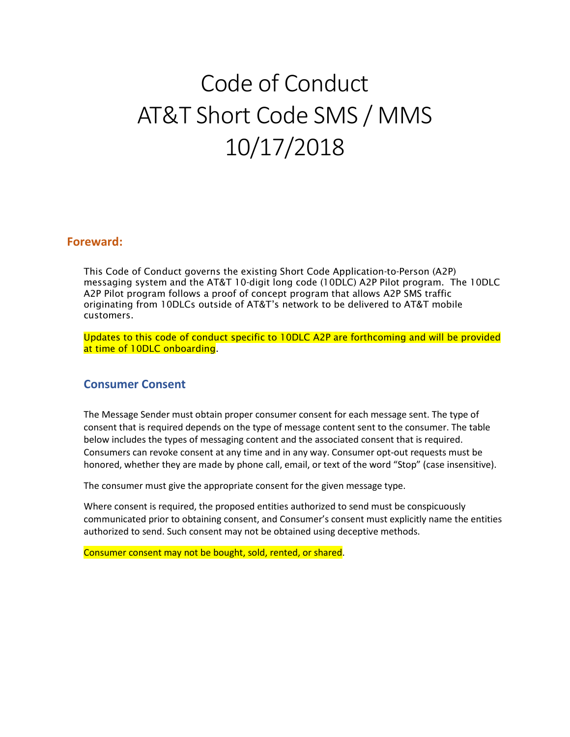# Code of Conduct AT&T Short Code SMS / MMS 10/17/2018

#### **Foreward:**

This Code of Conduct governs the existing Short Code Application-to-Person (A2P) messaging system and the AT&T 10-digit long code (10DLC) A2P Pilot program. The 10DLC A2P Pilot program follows a proof of concept program that allows A2P SMS traffic originating from 10DLCs outside of AT&T's network to be delivered to AT&T mobile customers.

Updates to this code of conduct specific to 10DLC A2P are forthcoming and will be provided at time of 10DLC onboarding.

#### **Consumer Consent**

The Message Sender must obtain proper consumer consent for each message sent. The type of consent that is required depends on the type of message content sent to the consumer. The table below includes the types of messaging content and the associated consent that is required. Consumers can revoke consent at any time and in any way. Consumer opt-out requests must be honored, whether they are made by phone call, email, or text of the word "Stop" (case insensitive).

The consumer must give the appropriate consent for the given message type.

Where consent is required, the proposed entities authorized to send must be conspicuously communicated prior to obtaining consent, and Consumer's consent must explicitly name the entities authorized to send. Such consent may not be obtained using deceptive methods.

Consumer consent may not be bought, sold, rented, or shared.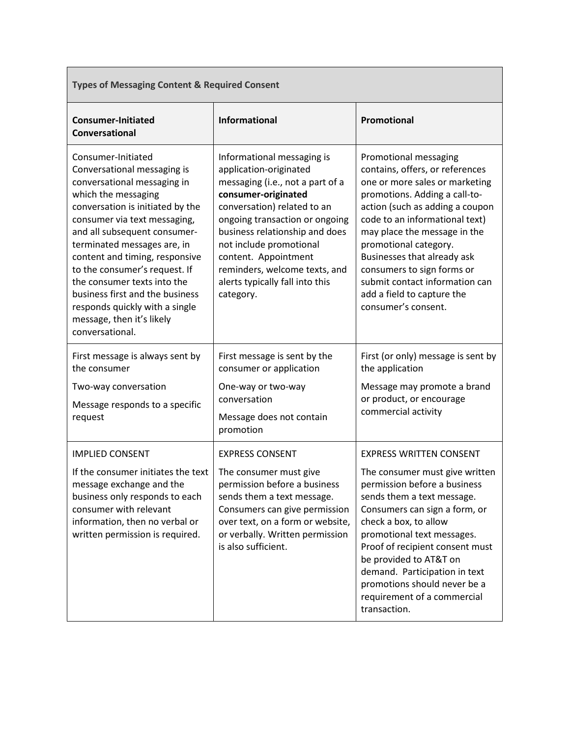| <b>Types of Messaging Content &amp; Required Consent</b>                                                                                                                                                                                                                                                                                                                                                                                                          |                                                                                                                                                                                                                                                                                                                                                        |                                                                                                                                                                                                                                                                                                                                                                                                               |
|-------------------------------------------------------------------------------------------------------------------------------------------------------------------------------------------------------------------------------------------------------------------------------------------------------------------------------------------------------------------------------------------------------------------------------------------------------------------|--------------------------------------------------------------------------------------------------------------------------------------------------------------------------------------------------------------------------------------------------------------------------------------------------------------------------------------------------------|---------------------------------------------------------------------------------------------------------------------------------------------------------------------------------------------------------------------------------------------------------------------------------------------------------------------------------------------------------------------------------------------------------------|
| <b>Consumer-Initiated</b><br>Conversational                                                                                                                                                                                                                                                                                                                                                                                                                       | <b>Informational</b>                                                                                                                                                                                                                                                                                                                                   | Promotional                                                                                                                                                                                                                                                                                                                                                                                                   |
| Consumer-Initiated<br>Conversational messaging is<br>conversational messaging in<br>which the messaging<br>conversation is initiated by the<br>consumer via text messaging,<br>and all subsequent consumer-<br>terminated messages are, in<br>content and timing, responsive<br>to the consumer's request. If<br>the consumer texts into the<br>business first and the business<br>responds quickly with a single<br>message, then it's likely<br>conversational. | Informational messaging is<br>application-originated<br>messaging (i.e., not a part of a<br>consumer-originated<br>conversation) related to an<br>ongoing transaction or ongoing<br>business relationship and does<br>not include promotional<br>content. Appointment<br>reminders, welcome texts, and<br>alerts typically fall into this<br>category. | Promotional messaging<br>contains, offers, or references<br>one or more sales or marketing<br>promotions. Adding a call-to-<br>action (such as adding a coupon<br>code to an informational text)<br>may place the message in the<br>promotional category.<br>Businesses that already ask<br>consumers to sign forms or<br>submit contact information can<br>add a field to capture the<br>consumer's consent. |
| First message is always sent by<br>the consumer<br>Two-way conversation<br>Message responds to a specific<br>request                                                                                                                                                                                                                                                                                                                                              | First message is sent by the<br>consumer or application<br>One-way or two-way<br>conversation<br>Message does not contain<br>promotion                                                                                                                                                                                                                 | First (or only) message is sent by<br>the application<br>Message may promote a brand<br>or product, or encourage<br>commercial activity                                                                                                                                                                                                                                                                       |
| <b>IMPLIED CONSENT</b><br>If the consumer initiates the text<br>message exchange and the<br>business only responds to each<br>consumer with relevant<br>information, then no verbal or<br>written permission is required.                                                                                                                                                                                                                                         | <b>EXPRESS CONSENT</b><br>The consumer must give<br>permission before a business<br>sends them a text message.<br>Consumers can give permission<br>over text, on a form or website,<br>or verbally. Written permission<br>is also sufficient.                                                                                                          | <b>EXPRESS WRITTEN CONSENT</b><br>The consumer must give written<br>permission before a business<br>sends them a text message.<br>Consumers can sign a form, or<br>check a box, to allow<br>promotional text messages.<br>Proof of recipient consent must<br>be provided to AT&T on<br>demand. Participation in text<br>promotions should never be a<br>requirement of a commercial<br>transaction.           |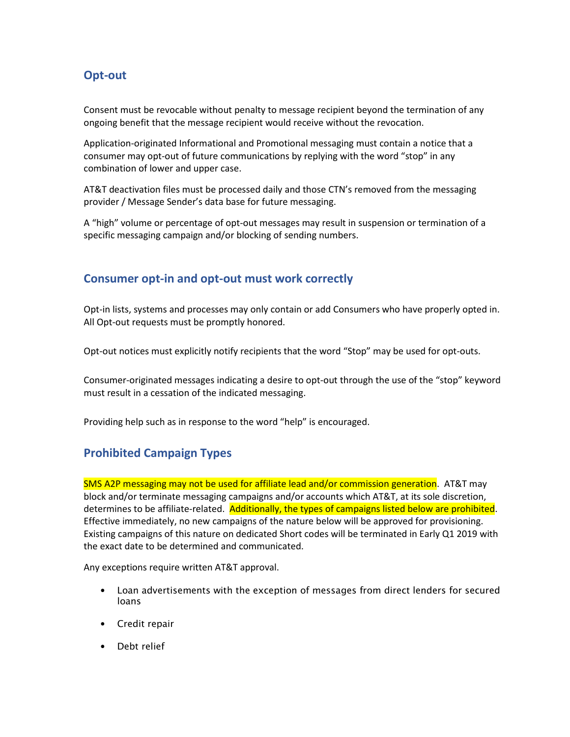# **Opt-out**

Consent must be revocable without penalty to message recipient beyond the termination of any ongoing benefit that the message recipient would receive without the revocation.

Application-originated Informational and Promotional messaging must contain a notice that a consumer may opt-out of future communications by replying with the word "stop" in any combination of lower and upper case.

AT&T deactivation files must be processed daily and those CTN's removed from the messaging provider / Message Sender's data base for future messaging.

A "high" volume or percentage of opt-out messages may result in suspension or termination of a specific messaging campaign and/or blocking of sending numbers.

#### **Consumer opt-in and opt-out must work correctly**

Opt-in lists, systems and processes may only contain or add Consumers who have properly opted in. All Opt-out requests must be promptly honored.

Opt-out notices must explicitly notify recipients that the word "Stop" may be used for opt-outs.

Consumer-originated messages indicating a desire to opt-out through the use of the "stop" keyword must result in a cessation of the indicated messaging.

Providing help such as in response to the word "help" is encouraged.

## **Prohibited Campaign Types**

SMS A2P messaging may not be used for affiliate lead and/or commission generation. AT&T may block and/or terminate messaging campaigns and/or accounts which AT&T, at its sole discretion, determines to be affiliate-related. Additionally, the types of campaigns listed below are prohibited. Effective immediately, no new campaigns of the nature below will be approved for provisioning. Existing campaigns of this nature on dedicated Short codes will be terminated in Early Q1 2019 with the exact date to be determined and communicated.

Any exceptions require written AT&T approval.

- Loan advertisements with the exception of messages from direct lenders for secured loans
- Credit repair
- Debt relief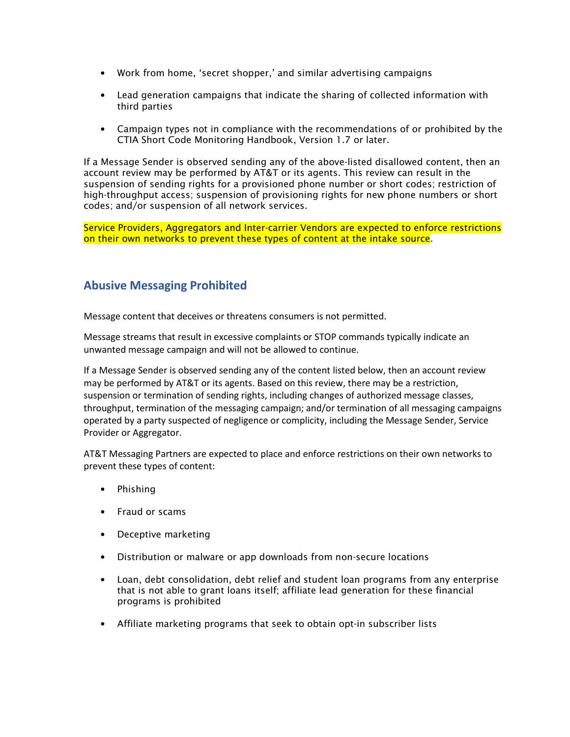- Work from home, 'secret shopper,' and similar advertising campaigns
- Lead generation campaigns that indicate the sharing of collected information with third parties
- Campaign types not in compliance with the recommendations of or prohibited by the CTIA Short Code Monitoring Handbook, Version 1.7 or later.

If a Message Sender is observed sending any of the above-listed disallowed content, then an account review may be performed by AT&T or its agents. This review can result in the suspension of sending rights for a provisioned phone number or short codes; restriction of high-throughput access; suspension of provisioning rights for new phone numbers or short codes; and/or suspension of all network services.

Service Providers, Aggregators and Inter-carrier Vendors are expected to enforce restrictions on their own networks to prevent these types of content at the intake source.

## **Abusive Messaging Prohibited**

Message content that deceives or threatens consumers is not permitted.

Message streams that result in excessive complaints or STOP commands typically indicate an unwanted message campaign and will not be allowed to continue.

If a Message Sender is observed sending any of the content listed below, then an account review may be performed by AT&T or its agents. Based on this review, there may be a restriction, suspension or termination of sending rights, including changes of authorized message classes, throughput, termination of the messaging campaign; and/or termination of all messaging campaigns operated by a party suspected of negligence or complicity, including the Message Sender, Service Provider or Aggregator.

AT&T Messaging Partners are expected to place and enforce restrictions on their own networks to prevent these types of content:

- Phishing
- Fraud or scams
- Deceptive marketing
- Distribution or malware or app downloads from non-secure locations
- Loan, debt consolidation, debt relief and student loan programs from any enterprise that is not able to grant loans itself; affiliate lead generation for these financial programs is prohibited
- Affiliate marketing programs that seek to obtain opt-in subscriber lists